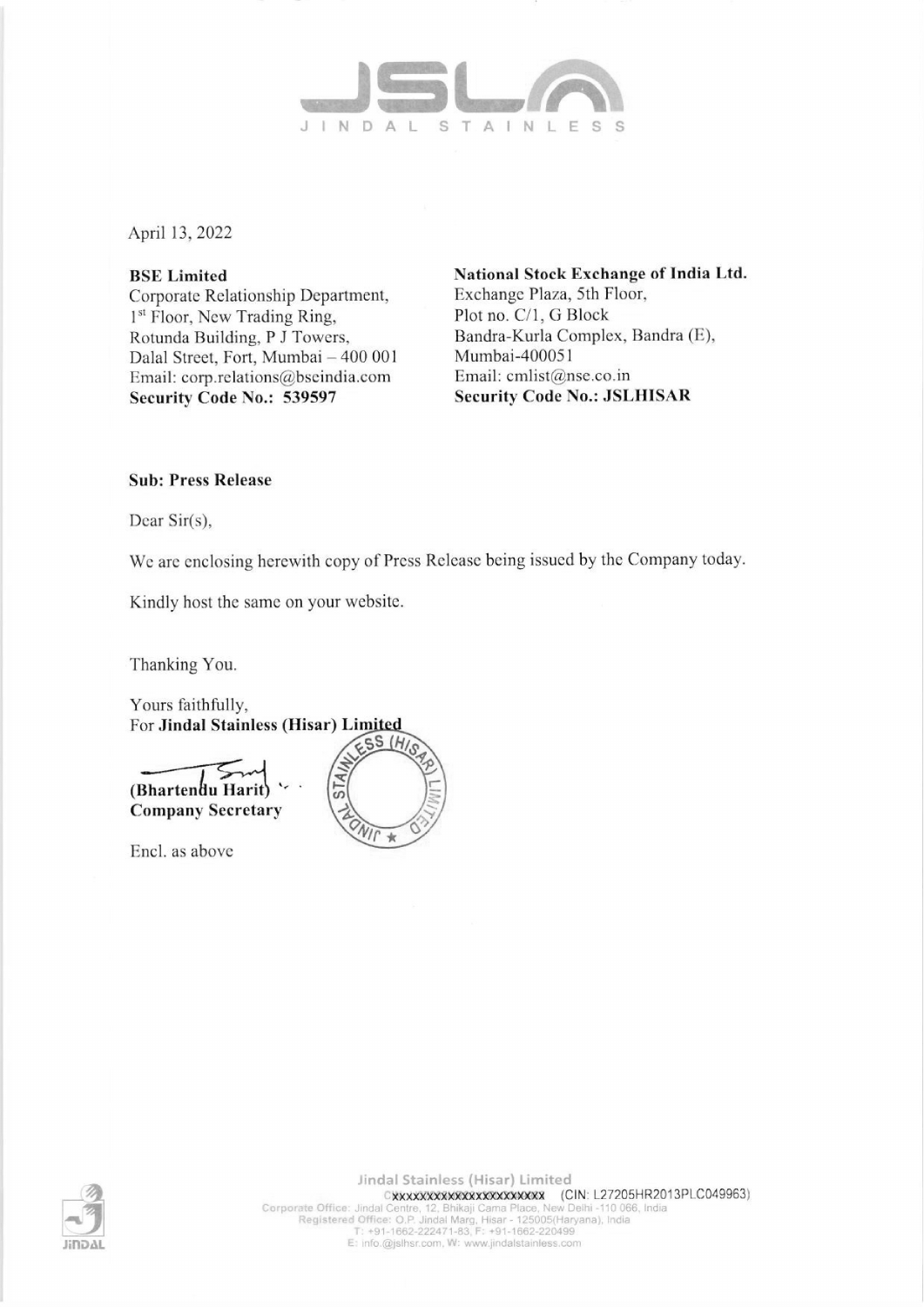

April 13, 2022

**BSE** Limited Corporate Relationship Department, 1<sup>st</sup> Floor, New Trading Ring, Rotunda Building, P J Towers, Dalal Street, Fort, Mumbai - 400 001 Email: corp.relations@bseindia.com Security Code No.: 539597

National Stock Exchange of India Ltd. Exchange Plaza, 5th Floor, Plot no. C/1, G Block Bandra-Kurla Complex, Bandra (E), Mumbai-400051 Email: cmlist@nse.co.in **Security Code No.: JSLHISAR** 

## **Sub: Press Release**

Dear  $Sir(s)$ ,

We are enclosing herewith copy of Press Release being issued by the Company today.

Kindly host the same on your website.

Thanking You.



Encl. as above



Jindal Stainless (Hisar) Limited CXXXXXXXXXXXXXXXXXXXXXX (CIN: L27205HR2013PLC049963) Corporate Office: Jindal Corporate CONSULTATION: Corporate Office: Jindal Centre, 12, Bhikaji Cama Place, New Delhi -110 066, India<br>Registered Office: O.P. Jindal Marg, Hisar - 125005(Haryana), India<br>T: +91-1662-222471-83,